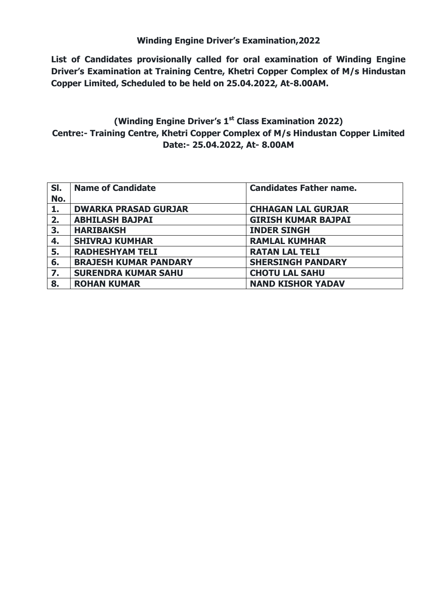## **Winding Engine Driver's Examination,2022**

**List of Candidates provisionally called for oral examination of Winding Engine Driver's Examination at Training Centre, Khetri Copper Complex of M/s Hindustan Copper Limited, Scheduled to be held on 25.04.2022, At-8.00AM.**

## **(Winding Engine Driver's 1st Class Examination 2022) Centre:- Training Centre, Khetri Copper Complex of M/s Hindustan Copper Limited Date:- 25.04.2022, At- 8.00AM**

| SI.<br>No. | <b>Name of Candidate</b>     | <b>Candidates Father name.</b> |
|------------|------------------------------|--------------------------------|
| 1.         | <b>DWARKA PRASAD GURJAR</b>  | <b>CHHAGAN LAL GURJAR</b>      |
| 2.         | <b>ABHILASH BAJPAI</b>       | <b>GIRISH KUMAR BAJPAI</b>     |
| 3.         | <b>HARIBAKSH</b>             | <b>INDER SINGH</b>             |
| 4.         | <b>SHIVRAJ KUMHAR</b>        | <b>RAMLAL KUMHAR</b>           |
| 5.         | <b>RADHESHYAM TELI</b>       | <b>RATAN LAL TELI</b>          |
| 6.         | <b>BRAJESH KUMAR PANDARY</b> | <b>SHERSINGH PANDARY</b>       |
| 7.         | <b>SURENDRA KUMAR SAHU</b>   | <b>CHOTU LAL SAHU</b>          |
| 8.         | <b>ROHAN KUMAR</b>           | <b>NAND KISHOR YADAV</b>       |